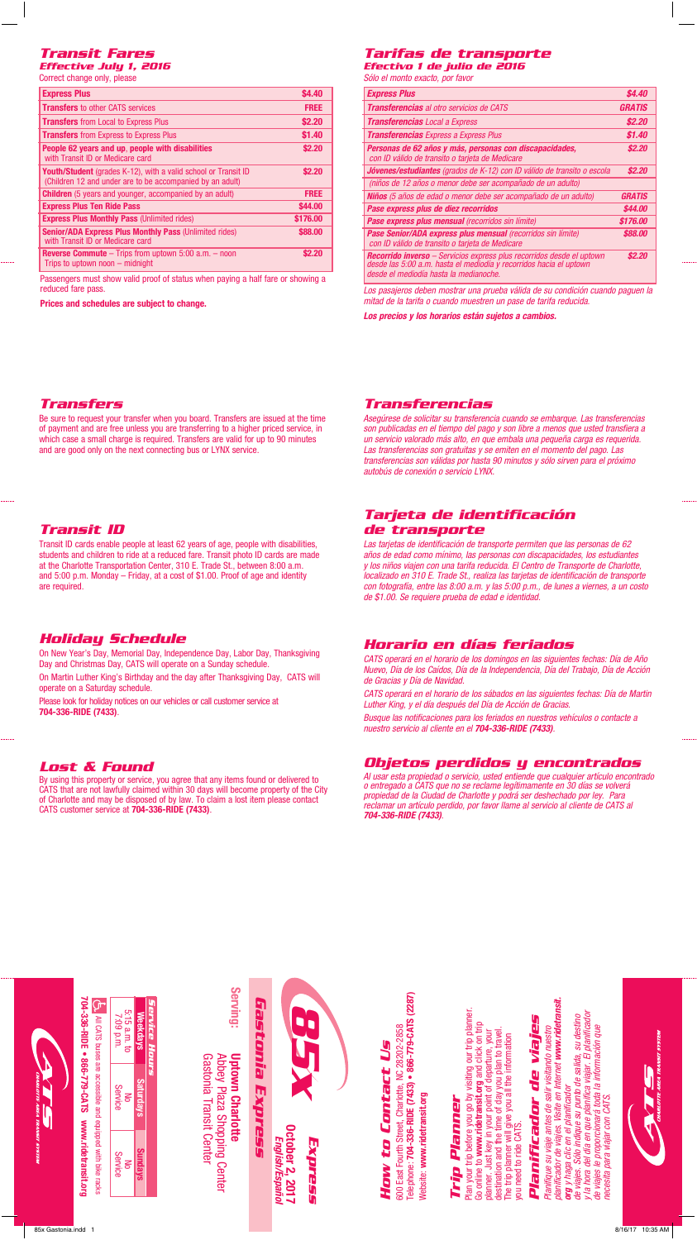# *Transit Fares*

| Effective July 1, 2016    |  |  |
|---------------------------|--|--|
| Ogwest shanna antu ntanga |  |  |

| \$4.40      |
|-------------|
| <b>FREE</b> |
| \$2.20      |
| \$1.40      |
| \$2.20      |
| \$2.20      |
| <b>FREE</b> |
| \$44.00     |
| \$176.00    |
| \$88.00     |
| \$2.20      |
|             |

Passengers must show valid proof of status when paying a half fare or showing a reduced fare pass.

**Prices and schedules are subject to change.**

# *Tarifas de transporte*

*Efectivo 1 de julio de 2016 Sólo el monto exacto, por favor*

| <b>Express Plus</b>                                                                                                                                                                          | <b>\$4.40</b> |
|----------------------------------------------------------------------------------------------------------------------------------------------------------------------------------------------|---------------|
| <b>Transferencias</b> al otro servicios de CATS                                                                                                                                              | <b>GRATIS</b> |
| <b>Transferencias</b> Local a Express                                                                                                                                                        | \$2.20        |
| <b>Transferencias</b> Express a Express Plus                                                                                                                                                 | \$1.40        |
| Personas de 62 años y más, personas con discapacidades,<br>con ID válido de transito o tarjeta de Medicare                                                                                   | \$2.20        |
| Jóvenes/estudiantes (grados de K-12) con ID válido de transito o escola                                                                                                                      | \$2.20        |
| (niños de 12 años o menor debe ser acompañado de un adulto)                                                                                                                                  |               |
| <b>Niños</b> (5 años de edad o menor debe ser acompañado de un adulto)                                                                                                                       | <b>GRATIS</b> |
| Pase express plus de diez recorridos                                                                                                                                                         | \$44.00       |
| <b>Pase express plus mensual</b> (recorridos sin límite)                                                                                                                                     | \$176.00      |
| <b>Pase Senior/ADA express plus mensual (recorridos sin límite)</b><br>con ID válido de transito o tarjeta de Medicare                                                                       | \$88.00       |
| <b>Recorrido inverso</b> – Servicios express plus recorridos desde el uptown<br>desde las 5:00 a.m. hasta el mediodía y recorridos hacia el uptown<br>desde el mediodía hasta la medianoche. | \$2.20        |

*Los pasajeros deben mostrar una prueba válida de su condición cuando paguen la mitad de la tarifa o cuando muestren un pase de tarifa reducida.*

*Los precios y los horarios están sujetos a cambios.*

#### *Transfers*

Be sure to request your transfer when you board. Transfers are issued at the time of payment and are free unless you are transferring to a higher priced service, in which case a small charge is required. Transfers are valid for up to 90 minutes and are good only on the next connecting bus or LYNX service.

### *Transit ID*

Transit ID cards enable people at least 62 years of age, people with disabilities, students and children to ride at a reduced fare. Transit photo ID cards are made at the Charlotte Transportation Center, 310 E. Trade St., between 8:00 a.m. and 5:00 p.m. Monday – Friday, at a cost of \$1.00. Proof of age and identity are required.

## *Holiday Schedule*

On New Year's Day, Memorial Day, Independence Day, Labor Day, Thanksgiving Day and Christmas Day, CATS will operate on a Sunday schedule.

On Martin Luther King's Birthday and the day after Thanksgiving Day, CATS will operate on a Saturday schedule.

Please look for holiday notices on our vehicles or call customer service at **704-336-RIDE (7433)**.

#### *Lost & Found*

By using this property or service, you agree that any items found or delivered to CATS that are not lawfully claimed within 30 days will become property of the City of Charlotte and may be disposed of by law. To claim a lost item please contact CATS customer service at **704-336-RIDE (7433)**.

#### *Transferencias*

*Asegúrese de solicitar su transferencia cuando se embarque. Las transferencias son publicadas en el tiempo del pago y son libre a menos que usted transfiera a un servicio valorado más alto, en que embala una pequeña carga es requerida. Las transferencias son gratuitas y se emiten en el momento del pago. Las transferencias son válidas por hasta 90 minutos y sólo sirven para el próximo autobús de conexión o servicio LYNX.*

## *Tarjeta de identificación de transporte*

*Las tarjetas de identificación de transporte permiten que las personas de 62 años de edad como mínimo, las personas con discapacidades, los estudiantes y los niños viajen con una tarifa reducida. El Centro de Transporte de Charlotte, localizado en 310 E. Trade St., realiza las tarjetas de identificación de transporte con fotografía, entre las 8:00 a.m. y las 5:00 p.m., de lunes a viernes, a un costo de \$1.00. Se requiere prueba de edad e identidad.*

#### *Horario en días feriados*

*CATS operará en el horario de los domingos en las siguientes fechas: Día de Año Nuevo, Día de los Caídos, Día de la Independencia, Día del Trabajo, Día de Acción de Gracias y Día de Navidad.*

*CATS operará en el horario de los sábados en las siguientes fechas: Día de Martin Luther King, y el día después del Día de Acción de Gracias.*

*Busque las notificaciones para los feriados en nuestros vehículos o contacte a nuestro servicio al cliente en el 704-336-RIDE (7433).*

#### *Objetos perdidos y encontrados*

*Al usar esta propiedad o servicio, usted entiende que cualquier artículo encontrado o entregado a CATS que no se reclame legítimamente en 30 días se volverá propiedad de la Ciudad de Charlotte y podrá ser deshechado por ley. Para reclamar un artículo perdido, por favor llame al servicio al cliente de CATS al 704-336-RIDE (7433).*

|                                                                                                                  | 5:15 a.m. to<br>7:09 p.m. | <b>Weekdays</b>  | Service Hours | Serving:                                                                          |  |
|------------------------------------------------------------------------------------------------------------------|---------------------------|------------------|---------------|-----------------------------------------------------------------------------------|--|
| 704-336-RIDE . 866-779-CATS www.ridetransit.org<br>To All CATS buses are accessible and equipped with bike racks | Service<br>g              | <b>Saturdays</b> |               | <b>Uptown Charlotte</b><br>Abbey Plaza Shopping Center<br>Gastonia Transit Center |  |
|                                                                                                                  | Service<br>δ              | <b>Sundays</b>   |               |                                                                                   |  |



# 600 East Fourth Street. Charlotte. NC 28202-2858 600 East Fourth Street, Charlotte, NC 28202-2858 How to Contact Us *How to Contact Us*

elephone: 704-336-RIDE (7433) · 866-779-CATS (2287) Telephone: **704-336-RIDE (7433) • 866-779-CATS (2287)** Vebsite: www.ridetransit.org Website: **www.ridetransit.org**

# *Trip Planner* Trip Planner

Plan your trip before you go by visiting our trip planner. Plan your trip before you go by visiting our trip planner. Go online to **www.ridetransit.org** and click on trip ao online to www.ridetransit.org and click on trip destination and the time of day you plan to travel. planner. Just key in your point of departure, your lanner. Just key in your point of departure, your lestination and the time of day you plan to travel The trip planner will give you all the information The trip planner will give you all the information rou need to ride CATS. you need to ride CATS.

# *Planificador de viajes* Planificador de viajes

planificador de viajes. Visite en Internet www.ridetransit. *planificador de viajes. Visite en Internet www.ridetransit. y la hora del día en que planifica viajar. El planificador*  la hora del día en que planifica viajar. El planificador de viajes. Sólo indíque su punto de salida, su destino *de viajes. Sólo indique su punto de salida, su destino Planifique su viaje antes de salir visitando nuestro de viajes le proporcionará toda la información que*  de viajes le proporcionará toda la información que lanifique su viaje antes de salir visitando nuestro *org y haga clic en el planificador*  **org** y haga clic en el planificador recesita para viajar con CATS. *necesita para viajar con CATS.*